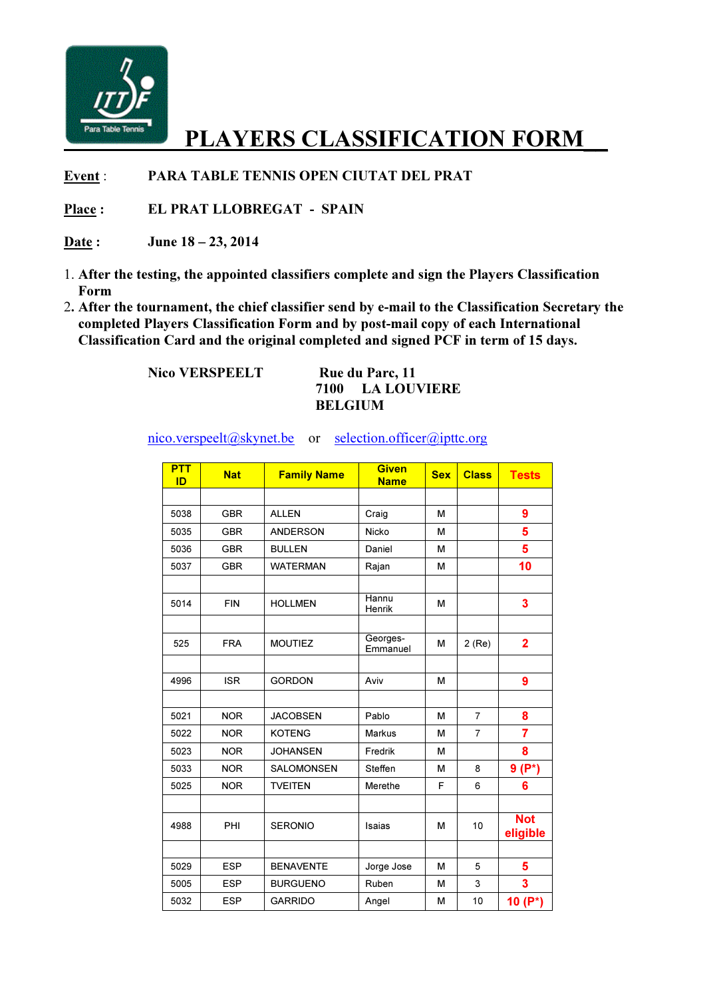

## PLAYERS CLASSIFICATION FORM\_\_

Event : PARA TABLE TENNIS OPEN CIUTAT DEL PRAT

Place : EL PRAT LLOBREGAT - SPAIN

Date: June 18 – 23, 2014

- 1. After the testing, the appointed classifiers complete and sign the Players Classification Form
- 2. After the tournament, the chief classifier send by e-mail to the Classification Secretary the completed Players Classification Form and by post-mail copy of each International Classification Card and the original completed and signed PCF in term of 15 days.

Nico VERSPEELT Rue du Parc, 11

## 7100 LA LOUVIERE BELGIUM

nico.verspeelt@skynet.be or selection.officer@ipttc.org

| <b>PTT</b><br>ID | <b>Nat</b> | <b>Family Name</b> | <b>Given</b><br><b>Name</b> | <b>Sex</b> | <b>Class</b>   | <b>Tests</b>           |
|------------------|------------|--------------------|-----------------------------|------------|----------------|------------------------|
|                  |            |                    |                             |            |                |                        |
| 5038             | <b>GBR</b> | <b>ALLEN</b>       | Craig                       | M          |                | $\boldsymbol{9}$       |
| 5035             | <b>GBR</b> | <b>ANDERSON</b>    | Nicko                       | м          |                | 5                      |
| 5036             | <b>GBR</b> | <b>BULLEN</b>      | Daniel                      | M          |                | 5                      |
| 5037             | <b>GBR</b> | <b>WATERMAN</b>    | Rajan                       | м          |                | 10                     |
|                  |            |                    |                             |            |                |                        |
| 5014             | <b>FIN</b> | <b>HOLLMEN</b>     | Hannu<br>Henrik             | M          |                | 3                      |
|                  |            |                    |                             |            |                |                        |
| 525              | <b>FRA</b> | <b>MOUTIEZ</b>     | Georges-<br>Emmanuel        | M          | $2$ (Re)       | $\overline{2}$         |
|                  |            |                    |                             |            |                |                        |
| 4996             | <b>ISR</b> | <b>GORDON</b>      | Aviv                        | M          |                | 9                      |
|                  |            |                    |                             |            |                |                        |
| 5021             | <b>NOR</b> | <b>JACOBSEN</b>    | Pablo                       | M          | $\overline{7}$ | 8                      |
| 5022             | <b>NOR</b> | <b>KOTENG</b>      | <b>Markus</b>               | M          | $\overline{7}$ | $\overline{7}$         |
| 5023             | <b>NOR</b> | <b>JOHANSEN</b>    | Fredrik                     | м          |                | 8                      |
| 5033             | <b>NOR</b> | <b>SALOMONSEN</b>  | Steffen                     | м          | 8              | $9(P^*)$               |
| 5025             | <b>NOR</b> | <b>TVEITEN</b>     | Merethe                     | F          | 6              | 6                      |
|                  |            |                    |                             |            |                |                        |
| 4988             | PHI        | <b>SERONIO</b>     | Isaias                      | M          | 10             | <b>Not</b><br>eligible |
|                  |            |                    |                             |            |                |                        |
| 5029             | <b>ESP</b> | <b>BENAVENTE</b>   | Jorge Jose                  | M          | 5              | 5                      |
| 5005             | <b>ESP</b> | <b>BURGUENO</b>    | Ruben                       | M          | 3              | 3                      |
| 5032             | <b>ESP</b> | <b>GARRIDO</b>     | Angel                       | М          | 10             | 10 $(P^*)$             |